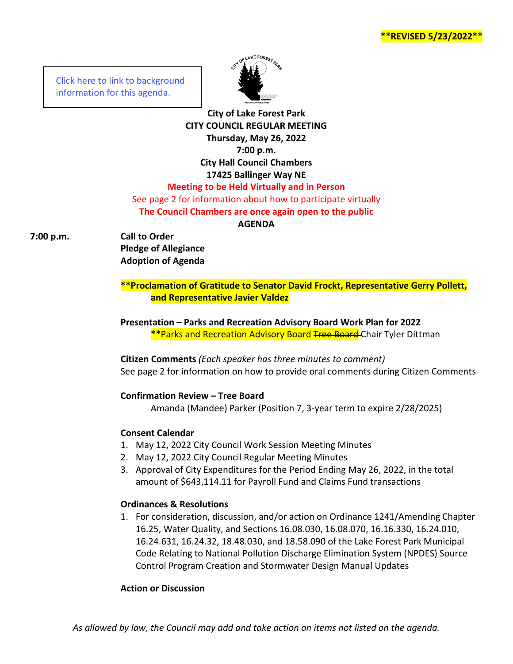**\*\*REVISED 5/23/2022\*\***

[Click here to link to background](https://media.avcaptureall.cloud/meeting/5cf561a5-4ce7-4fa0-9828-3be87007f71f) information for this agenda.



**City of Lake Forest Park CITY COUNCIL REGULAR MEETING Thursday, May 26, 2022 7:00 p.m. City Hall Council Chambers 17425 Ballinger Way NE Meeting to be Held Virtually and in Person** See page 2 for information about how to participate virtually **The Council Chambers are once again open to the public**

# **AGENDA**

**7:00 p.m. Call to Order Pledge of Allegiance Adoption of Agenda**

> **\*\*Proclamation of Gratitude to Senator David Frockt, Representative Gerry Pollett, and Representative Javier Valdez**

**Presentation – Parks and Recreation Advisory Board Work Plan for 2022 \*\*Parks and Recreation Advisory Board Tree Board-Chair Tyler Dittman** 

**Citizen Comments** *(Each speaker has three minutes to comment)* See page 2 for information on how to provide oral comments during Citizen Comments

#### **Confirmation Review – Tree Board**

Amanda (Mandee) Parker (Position 7, 3-year term to expire 2/28/2025)

#### **Consent Calendar**

- 1. May 12, 2022 City Council Work Session Meeting Minutes
- 2. May 12, 2022 City Council Regular Meeting Minutes
- 3. Approval of City Expenditures for the Period Ending May 26, 2022, in the total amount of \$643,114.11 for Payroll Fund and Claims Fund transactions

#### **Ordinances & Resolutions**

1. For consideration, discussion, and/or action on Ordinance 1241/Amending Chapter 16.25, Water Quality, and Sections 16.08.030, 16.08.070, 16.16.330, 16.24.010, 16.24.631, 16.24.32, 18.48.030, and 18.58.090 of the Lake Forest Park Municipal Code Relating to National Pollution Discharge Elimination System (NPDES) Source Control Program Creation and Stormwater Design Manual Updates

#### **Action or Discussion**

*As allowed by law, the Council may add and take action on items not listed on the agenda.*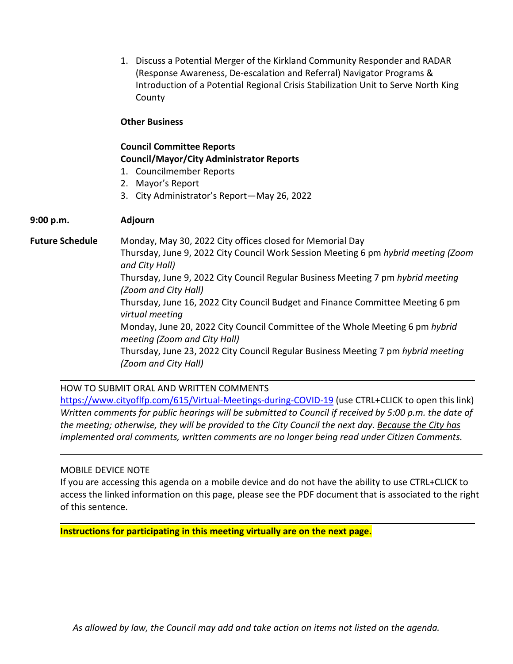1. Discuss a Potential Merger of the Kirkland Community Responder and RADAR (Response Awareness, De-escalation and Referral) Navigator Programs & Introduction of a Potential Regional Crisis Stabilization Unit to Serve North King County

### **Other Business**

## **Council Committee Reports Council/Mayor/City Administrator Reports**

- 1. Councilmember Reports
- 2. Mayor's Report
- 3. City Administrator's Report—May 26, 2022

## **9:00 p.m. Adjourn**

**Future Schedule** Monday, May 30, 2022 City offices closed for Memorial Day Thursday, June 9, 2022 City Council Work Session Meeting 6 pm *hybrid meeting (Zoom and City Hall)* Thursday, June 9, 2022 City Council Regular Business Meeting 7 pm *hybrid meeting (Zoom and City Hall)* Thursday, June 16, 2022 City Council Budget and Finance Committee Meeting 6 pm *virtual meeting* Monday, June 20, 2022 City Council Committee of the Whole Meeting 6 pm *hybrid meeting (Zoom and City Hall)* Thursday, June 23, 2022 City Council Regular Business Meeting 7 pm *hybrid meeting (Zoom and City Hall)*

HOW TO SUBMIT ORAL AND WRITTEN COMMENTS

<https://www.cityoflfp.com/615/Virtual-Meetings-during-COVID-19> (use CTRL+CLICK to open this link) *Written comments for public hearings will be submitted to Council if received by 5:00 p.m. the date of the meeting; otherwise, they will be provided to the City Council the next day. Because the City has implemented oral comments, written comments are no longer being read under Citizen Comments.*

## MOBILE DEVICE NOTE

If you are accessing this agenda on a mobile device and do not have the ability to use CTRL+CLICK to access the linked information on this page, please see the PDF document that is associated to the right of this sentence.

**Instructions for participating in this meeting virtually are on the next page.**